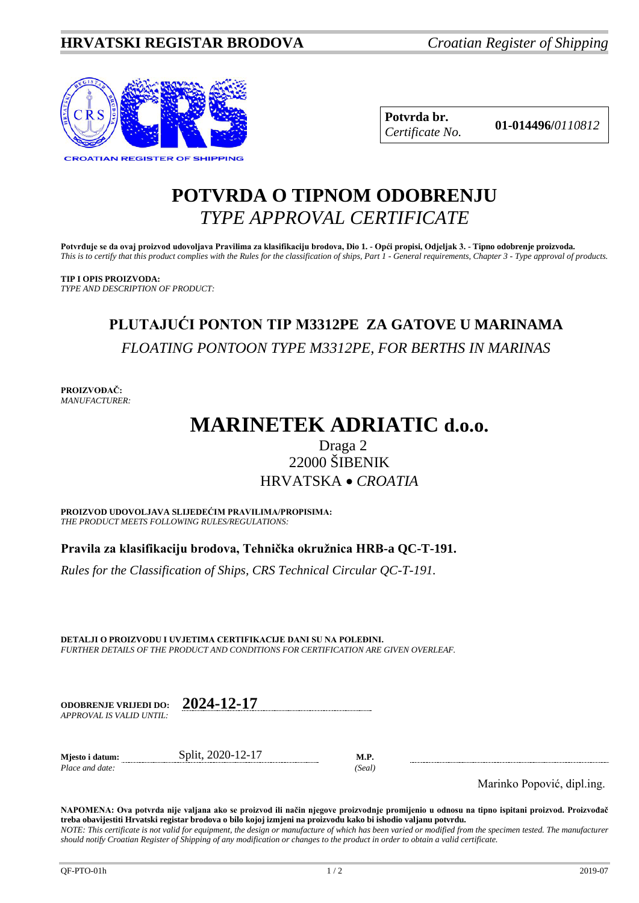

**Potvrda br. 01-014496/***<sup>0110812</sup> Certificate No.*

## **POTVRDA O TIPNOM ODOBRENJU** *TYPE APPROVAL CERTIFICATE*

**Potvrđuje se da ovaj proizvod udovoljava Pravilima za klasifikaciju brodova, Dio 1. - Opći propisi, Odjeljak 3. - Tipno odobrenje proizvoda.** *This is to certify that this product complies with the Rules for the classification of ships, Part 1 - General requirements, Chapter 3 - Type approval of products.*

**TIP I OPIS PROIZVODA:** *TYPE AND DESCRIPTION OF PRODUCT:*

# **PLUTAJUĆI PONTON TIP M3312PE ZA GATOVE U MARINAMA** *FLOATING PONTOON TYPE M3312PE, FOR BERTHS IN MARINAS*

**PROIZVOĐAČ:** *MANUFACTURER:*

# **MARINETEK ADRIATIC d.o.o.**

## Draga 2 22000 ŠIBENIK HRVATSKA • *CROATIA*

**PROIZVOD UDOVOLJAVA SLIJEDEĆIM PRAVILIMA/PROPISIMA:** *THE PRODUCT MEETS FOLLOWING RULES/REGULATIONS:*

**Pravila za klasifikaciju brodova, Tehnička okružnica HRB-a QC-T-191.** 

*Rules for the Classification of Ships, CRS Technical Circular QC-T-191.*

**DETALJI O PROIZVODU I UVJETIMA CERTIFIKACIJE DANI SU NA POLEĐINI.** *FURTHER DETAILS OF THE PRODUCT AND CONDITIONS FOR CERTIFICATION ARE GIVEN OVERLEAF.*

| <b>ODOBRENJE VRLJEDI DO:</b> | 2024-12-17 |
|------------------------------|------------|
| APPROVAL IS VALID UNTIL:     |            |

 $Place$  *and date*:

**Mjesto i datum:** Split, 2020-12-17 **M.P.**<br>Place and date: (Seal)

Marinko Popović, dipl.ing.

**NAPOMENA: Ova potvrda nije valjana ako se proizvod ili način njegove proizvodnje promijenio u odnosu na tipno ispitani proizvod. Proizvođač treba obavijestiti Hrvatski registar brodova o bilo kojoj izmjeni na proizvodu kako bi ishodio valjanu potvrdu.** *NOTE: This certificate is not valid for equipment, the design or manufacture of which has been varied or modified from the specimen tested. The manufacturer should notify Croatian Register of Shipping of any modification or changes to the product in order to obtain a valid certificate.*